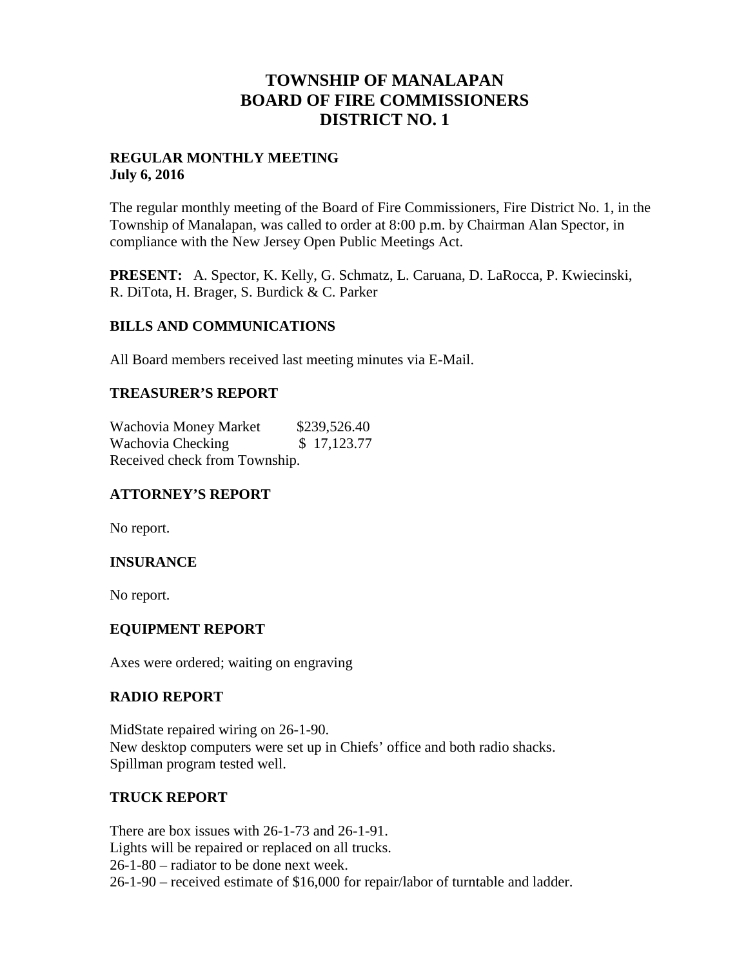## **TOWNSHIP OF MANALAPAN BOARD OF FIRE COMMISSIONERS DISTRICT NO. 1**

#### **REGULAR MONTHLY MEETING July 6, 2016**

The regular monthly meeting of the Board of Fire Commissioners, Fire District No. 1, in the Township of Manalapan, was called to order at 8:00 p.m. by Chairman Alan Spector, in compliance with the New Jersey Open Public Meetings Act.

**PRESENT:** A. Spector, K. Kelly, G. Schmatz, L. Caruana, D. LaRocca, P. Kwiecinski, R. DiTota, H. Brager, S. Burdick & C. Parker

#### **BILLS AND COMMUNICATIONS**

All Board members received last meeting minutes via E-Mail.

#### **TREASURER'S REPORT**

Wachovia Money Market \$239,526.40 Wachovia Checking  $$ 17,123.77$ Received check from Township.

## **ATTORNEY'S REPORT**

No report.

## **INSURANCE**

No report.

#### **EQUIPMENT REPORT**

Axes were ordered; waiting on engraving

#### **RADIO REPORT**

MidState repaired wiring on 26-1-90. New desktop computers were set up in Chiefs' office and both radio shacks. Spillman program tested well.

#### **TRUCK REPORT**

There are box issues with 26-1-73 and 26-1-91. Lights will be repaired or replaced on all trucks. 26-1-80 – radiator to be done next week. 26-1-90 – received estimate of \$16,000 for repair/labor of turntable and ladder.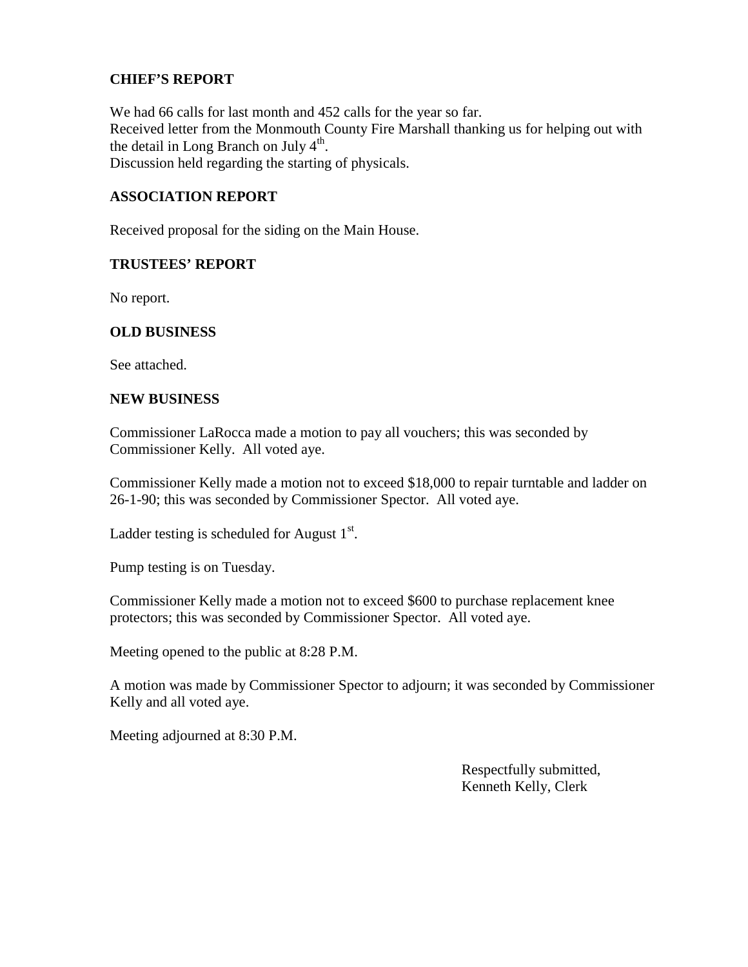#### **CHIEF'S REPORT**

We had 66 calls for last month and 452 calls for the year so far. Received letter from the Monmouth County Fire Marshall thanking us for helping out with the detail in Long Branch on July  $4<sup>th</sup>$ . Discussion held regarding the starting of physicals.

#### **ASSOCIATION REPORT**

Received proposal for the siding on the Main House.

#### **TRUSTEES' REPORT**

No report.

#### **OLD BUSINESS**

See attached.

#### **NEW BUSINESS**

Commissioner LaRocca made a motion to pay all vouchers; this was seconded by Commissioner Kelly. All voted aye.

Commissioner Kelly made a motion not to exceed \$18,000 to repair turntable and ladder on 26-1-90; this was seconded by Commissioner Spector. All voted aye.

Ladder testing is scheduled for August  $1<sup>st</sup>$ .

Pump testing is on Tuesday.

Commissioner Kelly made a motion not to exceed \$600 to purchase replacement knee protectors; this was seconded by Commissioner Spector. All voted aye.

Meeting opened to the public at 8:28 P.M.

A motion was made by Commissioner Spector to adjourn; it was seconded by Commissioner Kelly and all voted aye.

Meeting adjourned at 8:30 P.M.

Respectfully submitted, Kenneth Kelly, Clerk